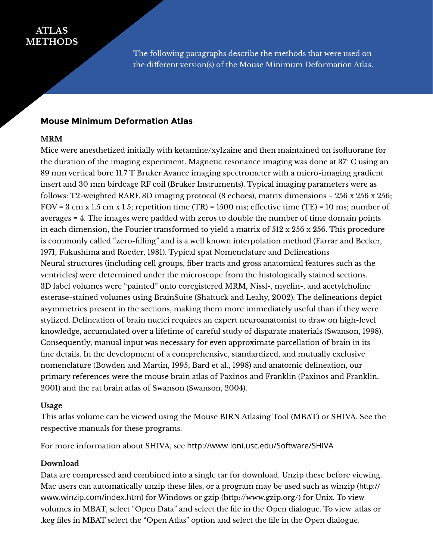# **ATLAS METHODS**

The following paragraphs describe the methods that were used on the different version(s) of the Mouse Minimum Deformation Atlas.

### **Mouse Minimum Deformation Atlas**

### **MRM**

Mice were anesthetized initially with ketamine/xylzaine and then maintained on isofluorane for the duration of the imaging experiment. Magnetic resonance imaging was done at 37° C using an 89 mm vertical bore 11.7 T Bruker Avance imaging spectrometer with a micro-imaging gradient insert and 30 mm birdcage RF coil (Bruker Instruments). Typical imaging parameters were as follows: T2-weighted RARE 3D imaging protocol (8 echoes), matrix dimensions = 256 x 256 x 256; FOV =  $3 \text{ cm } x 1.5 \text{ cm } x 1.5$ ; repetition time (TR) = 1500 ms; effective time (TE) = 10 ms; number of averages = 4. The images were padded with zeros to double the number of time domain points in each dimension, the Fourier transformed to yield a matrix of 512 x 256 x 256. This procedure is commonly called "zero-filling" and is a well known interpolation method (Farrar and Becker, 1971; Fukushima and Roeder, 1981). Typical spat Nomenclature and Delineations Neural structures (including cell groups, fiber tracts and gross anatomical features such as the ventricles) were determined under the microscope from the histologically stained sections. 3D label volumes were "painted" onto coregistered MRM, Nissl-, myelin-, and acetylcholine esterase-stained volumes using BrainSuite (Shattuck and Leahy, 2002). The delineations depict asymmetries present in the sections, making them more immediately useful than if they were stylized. Delineation of brain nuclei requires an expert neuroanatomist to draw on high-level knowledge, accumulated over a lifetime of careful study of disparate materials (Swanson, 1998). Consequently, manual input was necessary for even approximate parcellation of brain in its fine details. In the development of a comprehensive, standardized, and mutually exclusive nomenclature (Bowden and Martin, 1995; Bard et al., 1998) and anatomic delineation, our primary references were the mouse brain atlas of Paxinos and Franklin (Paxinos and Franklin, 2001) and the rat brain atlas of Swanson (Swanson, 2004).

#### **Usage**

This atlas volume can be viewed using the Mouse BIRN Atlasing Tool (MBAT) or SHIVA. See the respective manuals for these programs.

For more information about SHIVA, see http://www.loni.usc.edu/Software/SHIVA

#### **Download**

Data are compressed and combined into a single tar for download. Unzip these before viewing. Mac users can automatically unzip these files, or a program may be used such as winzip (http:// www.winzip.com/index.htm) for Windows or gzip (http://www.gzip.org/) for Unix. To view volumes in MBAT, select "Open Data" and select the file in the Open dialogue. To view .atlas or .keg files in MBAT select the "Open Atlas" option and select the file in the Open dialogue.